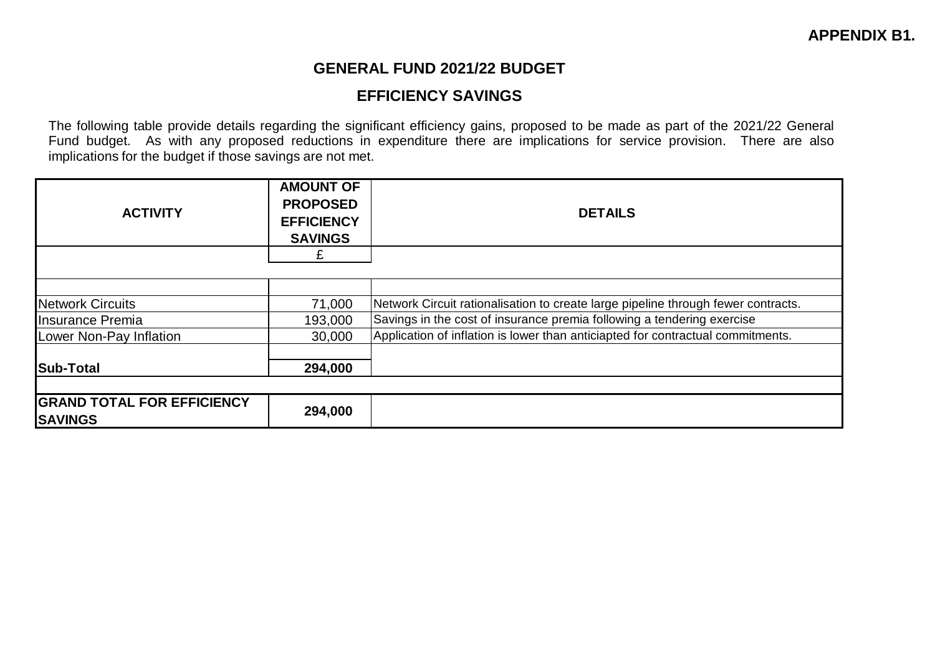## **GENERAL FUND 2021/22 BUDGET**

## **EFFICIENCY SAVINGS**

The following table provide details regarding the significant efficiency gains, proposed to be made as part of the 2021/22 General Fund budget. As with any proposed reductions in expenditure there are implications for service provision. There are also implications for the budget if those savings are not met.

| <b>ACTIVITY</b>                                     | <b>AMOUNT OF</b><br><b>PROPOSED</b><br><b>EFFICIENCY</b><br><b>SAVINGS</b> | <b>DETAILS</b>                                                                    |
|-----------------------------------------------------|----------------------------------------------------------------------------|-----------------------------------------------------------------------------------|
|                                                     |                                                                            |                                                                                   |
|                                                     |                                                                            |                                                                                   |
| Network Circuits                                    | 71,000                                                                     | Network Circuit rationalisation to create large pipeline through fewer contracts. |
| Insurance Premia                                    | 193,000                                                                    | Savings in the cost of insurance premia following a tendering exercise            |
| Lower Non-Pay Inflation                             | 30,000                                                                     | Application of inflation is lower than anticiapted for contractual commitments.   |
|                                                     |                                                                            |                                                                                   |
| Sub-Total                                           | 294,000                                                                    |                                                                                   |
|                                                     |                                                                            |                                                                                   |
| <b>GRAND TOTAL FOR EFFICIENCY</b><br><b>SAVINGS</b> | 294,000                                                                    |                                                                                   |